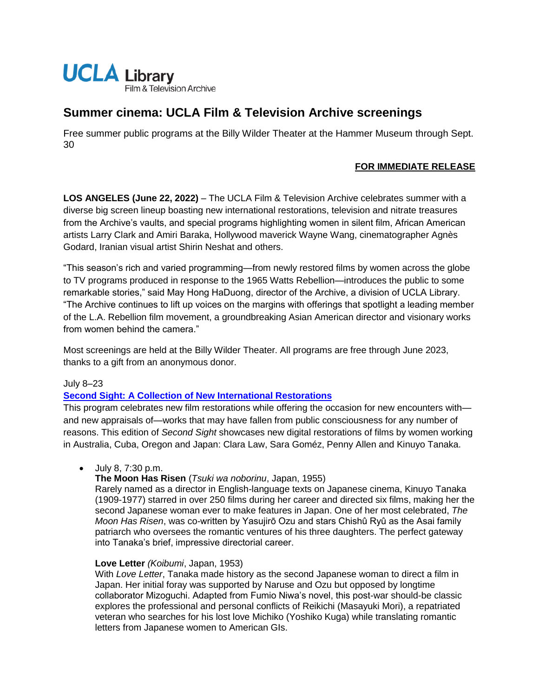

# **Summer cinema: UCLA Film & Television Archive screenings**

Free summer public programs at the Billy Wilder Theater at the Hammer Museum through Sept. 30

# **FOR IMMEDIATE RELEASE**

**LOS ANGELES (June 22, 2022)** – The UCLA Film & Television Archive celebrates summer with a diverse big screen lineup boasting new international restorations, television and nitrate treasures from the Archive's vaults, and special programs highlighting women in silent film, African American artists Larry Clark and Amiri Baraka, Hollywood maverick Wayne Wang, cinematographer Agnès Godard, Iranian visual artist Shirin Neshat and others.

"This season's rich and varied programming—from newly restored films by women across the globe to TV programs produced in response to the 1965 Watts Rebellion—introduces the public to some remarkable stories," said May Hong HaDuong, director of the Archive, a division of UCLA Library. "The Archive continues to lift up voices on the margins with offerings that spotlight a leading member of the L.A. Rebellion film movement, a groundbreaking Asian American director and visionary works from women behind the camera."

Most screenings are held at the Billy Wilder Theater. All programs are free through June 2023, thanks to a gift from an anonymous donor.

#### July 8–23

## **[Second Sight: A Collection of New International Restorations](https://www.cinema.ucla.edu/events/2022/second-sight-collection-of-new-international-restorations)**

This program celebrates new film restorations while offering the occasion for new encounters with and new appraisals of—works that may have fallen from public consciousness for any number of reasons. This edition of *Second Sight* showcases new digital restorations of films by women working in Australia, Cuba, Oregon and Japan: Clara Law, Sara Goméz, Penny Allen and Kinuyo Tanaka.

• July 8, 7:30 p.m.

## **The Moon Has Risen** (*Tsuki wa noborinu*, Japan, 1955)

Rarely named as a director in English-language texts on Japanese cinema, Kinuyo Tanaka (1909-1977) starred in over 250 films during her career and directed six films, making her the second Japanese woman ever to make features in Japan. One of her most celebrated, *The Moon Has Risen*, was co-written by Yasujirō Ozu and stars Chishû Ryû as the Asai family patriarch who oversees the romantic ventures of his three daughters. The perfect gateway into Tanaka's brief, impressive directorial career.

#### **Love Letter** *(Koibumi*, Japan, 1953)

With *Love Letter*, Tanaka made history as the second Japanese woman to direct a film in Japan. Her initial foray was supported by Naruse and Ozu but opposed by longtime collaborator Mizoguchi. Adapted from Fumio Niwa's novel, this post-war should-be classic explores the professional and personal conflicts of Reikichi (Masayuki Mori), a repatriated veteran who searches for his lost love Michiko (Yoshiko Kuga) while translating romantic letters from Japanese women to American GIs.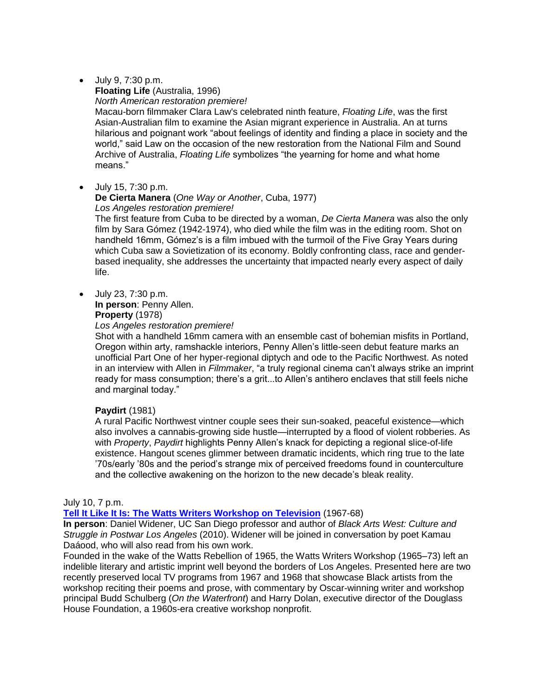• July 9, 7:30 p.m.

**Floating Life** (Australia, 1996)

*North American restoration premiere!*

Macau-born filmmaker Clara Law's celebrated ninth feature, *Floating Life*, was the first Asian-Australian film to examine the Asian migrant experience in Australia. An at turns hilarious and poignant work "about feelings of identity and finding a place in society and the world," said Law on the occasion of the new restoration from the National Film and Sound Archive of Australia, *Floating Life* symbolizes "the yearning for home and what home means."

• July 15, 7:30 p.m.

## **De Cierta Manera** (*One Way or Another*, Cuba, 1977) *Los Angeles restoration premiere!*

The first feature from Cuba to be directed by a woman, *De Cierta Manera* was also the only film by Sara Gómez (1942-1974), who died while the film was in the editing room. Shot on handheld 16mm, Gómez's is a film imbued with the turmoil of the Five Gray Years during which Cuba saw a Sovietization of its economy. Boldly confronting class, race and genderbased inequality, she addresses the uncertainty that impacted nearly every aspect of daily life.

• July 23, 7:30 p.m.

**In person**: Penny Allen.

**Property** (1978)

*Los Angeles restoration premiere!*

Shot with a handheld 16mm camera with an ensemble cast of bohemian misfits in Portland, Oregon within arty, ramshackle interiors, Penny Allen's little-seen debut feature marks an unofficial Part One of her hyper-regional diptych and ode to the Pacific Northwest. As noted in an interview with Allen in *Filmmaker*, "a truly regional cinema can't always strike an imprint ready for mass consumption; there's a grit...to Allen's antihero enclaves that still feels niche and marginal today."

# **Paydirt** (1981)

A rural Pacific Northwest vintner couple sees their sun-soaked, peaceful existence—which also involves a cannabis-growing side hustle—interrupted by a flood of violent robberies. As with *Property*, *Paydirt* highlights Penny Allen's knack for depicting a regional slice-of-life existence. Hangout scenes glimmer between dramatic incidents, which ring true to the late '70s/early '80s and the period's strange mix of perceived freedoms found in counterculture and the collective awakening on the horizon to the new decade's bleak reality.

## July 10, 7 p.m.

## **[Tell It Like It Is: The Watts Writers Workshop on Television](https://www.cinema.ucla.edu/events/2022/07/10/tell-it-like-it-is-watts-writers-workshop-television)** (1967-68)

**In person**: Daniel Widener, UC San Diego professor and author of *Black Arts West: Culture and Struggle in Postwar Los Angeles* (2010). Widener will be joined in conversation by poet Kamau Daáood, who will also read from his own work.

Founded in the wake of the Watts Rebellion of 1965, the Watts Writers Workshop (1965–73) left an indelible literary and artistic imprint well beyond the borders of Los Angeles. Presented here are two recently preserved local TV programs from 1967 and 1968 that showcase Black artists from the workshop reciting their poems and prose, with commentary by Oscar-winning writer and workshop principal Budd Schulberg (*On the Waterfront*) and Harry Dolan, executive director of the Douglass House Foundation, a 1960s-era creative workshop nonprofit.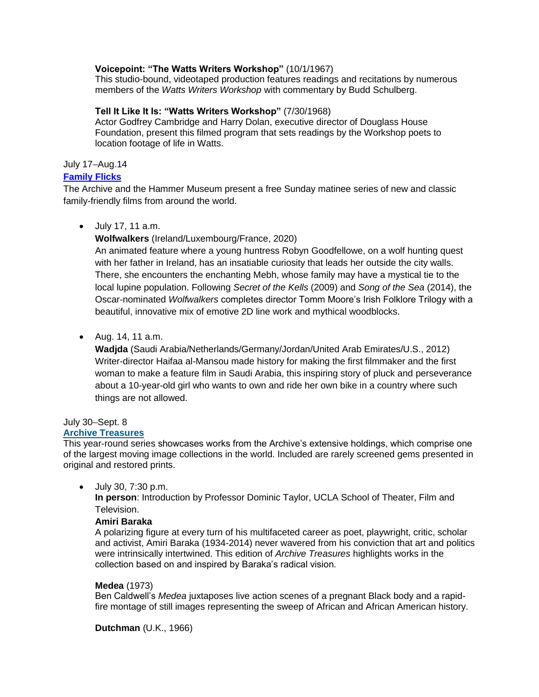## **Voicepoint: "The Watts Writers Workshop"** (10/1/1967)

This studio-bound, videotaped production features readings and recitations by numerous members of the *Watts Writers Workshop* with commentary by Budd Schulberg.

## **Tell It Like It Is: "Watts Writers Workshop"** (7/30/1968)

Actor Godfrey Cambridge and Harry Dolan, executive director of Douglass House Foundation, present this filmed program that sets readings by the Workshop poets to location footage of life in Watts.

# July 17–Aug.14

## **[Family Flicks](https://www.cinema.ucla.edu/events/family-flicks)**

The Archive and the Hammer Museum present a free Sunday matinee series of new and classic family-friendly films from around the world.

• July 17, 11 a.m.

**Wolfwalkers** (Ireland/Luxembourg/France, 2020)

An animated feature where a young huntress Robyn Goodfellowe, on a wolf hunting quest with her father in Ireland, has an insatiable curiosity that leads her outside the city walls. There, she encounters the enchanting Mebh, whose family may have a mystical tie to the local lupine population. Following *Secret of the Kells* (2009) and *Song of the Sea* (2014), the Oscar-nominated *Wolfwalkers* completes director Tomm Moore's Irish Folklore Trilogy with a beautiful, innovative mix of emotive 2D line work and mythical woodblocks.

• Aug. 14, 11 a.m.

**Wadjda** (Saudi Arabia/Netherlands/Germany/Jordan/United Arab Emirates/U.S., 2012) Writer-director Haifaa al-Mansou made history for making the first filmmaker and the first woman to make a feature film in Saudi Arabia, this inspiring story of pluck and perseverance about a 10-year-old girl who wants to own and ride her own bike in a country where such things are not allowed.

# July 30–Sept. 8

# **[Archive Treasures](https://www.cinema.ucla.edu/events/archive-treasures)**

This year-round series showcases works from the Archive's extensive holdings, which comprise one of the largest moving image collections in the world. Included are rarely screened gems presented in original and restored prints.

## • July 30, 7:30 p.m.

**In person**: Introduction by Professor Dominic Taylor, UCLA School of Theater, Film and Television.

## **Amiri Baraka**

A polarizing figure at every turn of his multifaceted career as poet, playwright, critic, scholar and activist, Amiri Baraka (1934-2014) never wavered from his conviction that art and politics were intrinsically intertwined. This edition of *Archive Treasures* highlights works in the collection based on and inspired by Baraka's radical vision*.*

## **Medea** (1973)

Ben Caldwell's *Medea* juxtaposes live action scenes of a pregnant Black body and a rapidfire montage of still images representing the sweep of African and African American history.

**Dutchman** (U.K., 1966)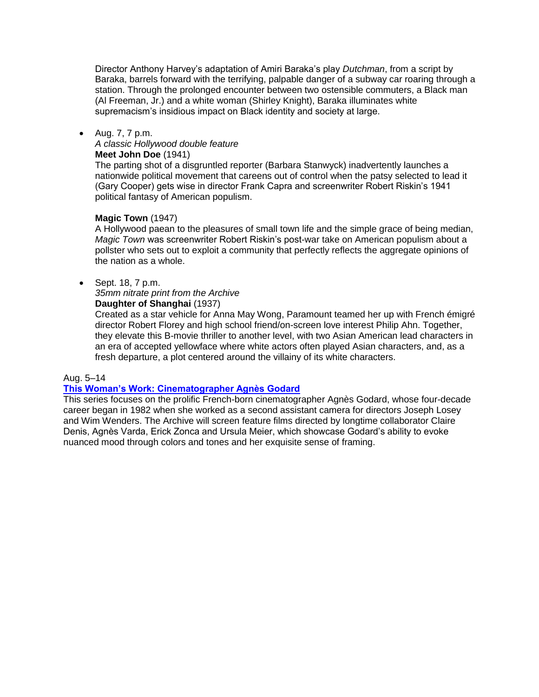Director Anthony Harvey's adaptation of Amiri Baraka's play *Dutchman*, from a script by Baraka, barrels forward with the terrifying, palpable danger of a subway car roaring through a station. Through the prolonged encounter between two ostensible commuters, a Black man (Al Freeman, Jr.) and a white woman (Shirley Knight), Baraka illuminates white supremacism's insidious impact on Black identity and society at large.

• Aug. 7, 7 p.m.

*A classic Hollywood double feature* **Meet John Doe** (1941)

The parting shot of a disgruntled reporter (Barbara Stanwyck) inadvertently launches a nationwide political movement that careens out of control when the patsy selected to lead it (Gary Cooper) gets wise in director Frank Capra and screenwriter Robert Riskin's 1941 political fantasy of American populism.

## **Magic Town** (1947)

A Hollywood paean to the pleasures of small town life and the simple grace of being median, *Magic Town* was screenwriter Robert Riskin's post-war take on American populism about a pollster who sets out to exploit a community that perfectly reflects the aggregate opinions of the nation as a whole.

• Sept. 18, 7 p.m.

*35mm nitrate print from the Archive* **Daughter of Shanghai** (1937)

Created as a star vehicle for Anna May Wong, Paramount teamed her up with French émigré director Robert Florey and high school friend/on-screen love interest Philip Ahn. Together, they elevate this B-movie thriller to another level, with two Asian American lead characters in an era of accepted yellowface where white actors often played Asian characters, and, as a fresh departure, a plot centered around the villainy of its white characters.

## Aug. 5–14

# **[This Woman's Work: Cinematographer Agnès Godard](https://www.cinema.ucla.edu/events/2022/this-womans-work-cinematographer-agnes-godard)**

This series focuses on the prolific French-born cinematographer Agnès Godard, whose four-decade career began in 1982 when she worked as a second assistant camera for directors Joseph Losey and Wim Wenders. The Archive will screen feature films directed by longtime collaborator Claire Denis, Agnès Varda, Erick Zonca and Ursula Meier, which showcase Godard's ability to evoke nuanced mood through colors and tones and her exquisite sense of framing.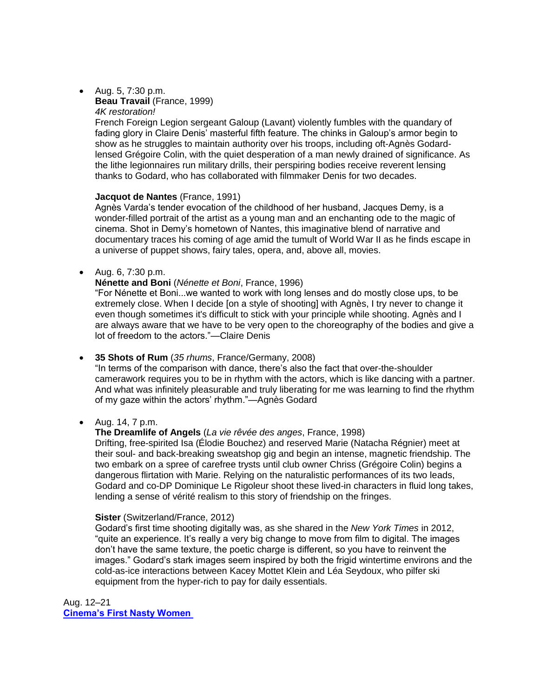• Aug. 5, 7:30 p.m.

**Beau Travail** (France, 1999) *4K restoration!*

French Foreign Legion sergeant Galoup (Lavant) violently fumbles with the quandary of fading glory in Claire Denis' masterful fifth feature. The chinks in Galoup's armor begin to show as he struggles to maintain authority over his troops, including oft-Agnès Godardlensed Grégoire Colin, with the quiet desperation of a man newly drained of significance. As the lithe legionnaires run military drills, their perspiring bodies receive reverent lensing thanks to Godard, who has collaborated with filmmaker Denis for two decades.

## **Jacquot de Nantes** (France, 1991)

Agnès Varda's tender evocation of the childhood of her husband, Jacques Demy, is a wonder-filled portrait of the artist as a young man and an enchanting ode to the magic of cinema. Shot in Demy's hometown of Nantes, this imaginative blend of narrative and documentary traces his coming of age amid the tumult of World War II as he finds escape in a universe of puppet shows, fairy tales, opera, and, above all, movies.

• Aug. 6, 7:30 p.m.

**Nénette and Boni** (*Nénette et Boni*, France, 1996)

"For Nénette et Boni...we wanted to work with long lenses and do mostly close ups, to be extremely close. When I decide [on a style of shooting] with Agnès, I try never to change it even though sometimes it's difficult to stick with your principle while shooting. Agnès and I are always aware that we have to be very open to the choreography of the bodies and give a lot of freedom to the actors."—Claire Denis

# • **35 Shots of Rum** (*35 rhums*, France/Germany, 2008)

"In terms of the comparison with dance, there's also the fact that over-the-shoulder camerawork requires you to be in rhythm with the actors, which is like dancing with a partner. And what was infinitely pleasurable and truly liberating for me was learning to find the rhythm of my gaze within the actors' rhythm."—Agnès Godard

# • Aug. 14, 7 p.m.

# **The Dreamlife of Angels** (*La vie rêvée des anges*, France, 1998)

Drifting, free-spirited Isa (Élodie Bouchez) and reserved Marie (Natacha Régnier) meet at their soul- and back-breaking sweatshop gig and begin an intense, magnetic friendship. The two embark on a spree of carefree trysts until club owner Chriss (Grégoire Colin) begins a dangerous flirtation with Marie. Relying on the naturalistic performances of its two leads, Godard and co-DP Dominique Le Rigoleur shoot these lived-in characters in fluid long takes, lending a sense of vérité realism to this story of friendship on the fringes.

## **Sister** (Switzerland/France, 2012)

Godard's first time shooting digitally was, as she shared in the *New York Times* in 2012, "quite an experience. It's really a very big change to move from film to digital. The images don't have the same texture, the poetic charge is different, so you have to reinvent the images." Godard's stark images seem inspired by both the frigid wintertime environs and the cold-as-ice interactions between Kacey Mottet Klein and Léa Seydoux, who pilfer ski equipment from the hyper-rich to pay for daily essentials.

Aug. 12–21 **[Cinema's First Nasty Women](https://www.cinema.ucla.edu/events/2022/cinemas-first-nasty-women)**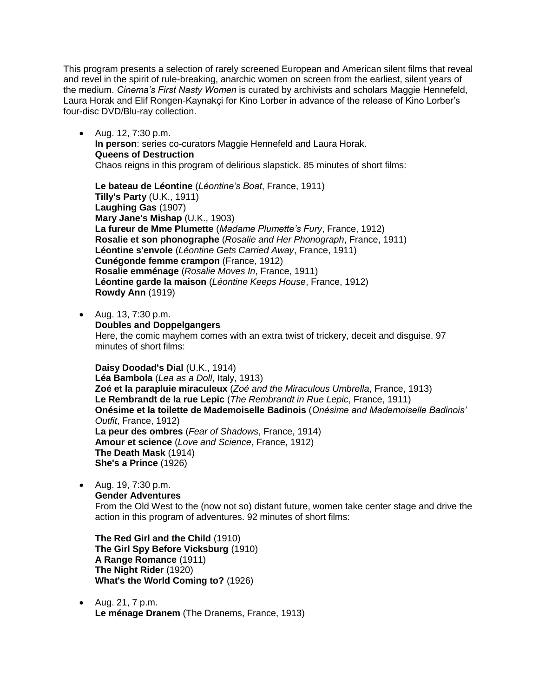This program presents a selection of rarely screened European and American silent films that reveal and revel in the spirit of rule-breaking, anarchic women on screen from the earliest, silent years of the medium. *Cinema's First Nasty Women* is curated by archivists and scholars Maggie Hennefeld, Laura Horak and Elif Rongen-Kaynakçi for Kino Lorber in advance of the release of Kino Lorber's four-disc DVD/Blu-ray collection.

• Aug. 12, 7:30 p.m. **In person**: series co-curators Maggie Hennefeld and Laura Horak. **Queens of Destruction** Chaos reigns in this program of delirious slapstick. 85 minutes of short films:

**Le bateau de Léontine** (*Léontine's Boat*, France, 1911) **Tilly's Party** (U.K., 1911) **Laughing Gas** (1907) **Mary Jane's Mishap** (U.K., 1903) **La fureur de Mme Plumette** (*Madame Plumette's Fury*, France, 1912) **Rosalie et son phonographe** (*Rosalie and Her Phonograph*, France, 1911) **Léontine s'envole** (*Léontine Gets Carried Away*, France, 1911) **Cunégonde femme crampon** (France, 1912) **Rosalie emménage** (*Rosalie Moves In*, France, 1911) **Léontine garde la maison** (*Léontine Keeps House*, France, 1912) **Rowdy Ann** (1919)

• Aug. 13, 7:30 p.m. **Doubles and Doppelgangers** Here, the comic mayhem comes with an extra twist of trickery, deceit and disguise. 97 minutes of short films:

**Daisy Doodad's Dial** (U.K., 1914) **Léa Bambola** (*Lea as a Doll*, Italy, 1913) **Zoé et la parapluie miraculeux** (*Zoé and the Miraculous Umbrella*, France, 1913) **Le Rembrandt de la rue Lepic** (*The Rembrandt in Rue Lepic*, France, 1911) **Onésime et la toilette de Mademoiselle Badinois** (*Onésime and Mademoiselle Badinois' Outfit*, France, 1912) **La peur des ombres** (*Fear of Shadows*, France, 1914) **Amour et science** (*Love and Science*, France, 1912) **The Death Mask** (1914) **She's a Prince** (1926)

• Aug. 19, 7:30 p.m.

```
Gender Adventures
```
From the Old West to the (now not so) distant future, women take center stage and drive the action in this program of adventures. 92 minutes of short films:

**The Red Girl and the Child** (1910) **The Girl Spy Before Vicksburg** (1910) **A Range Romance** (1911) **The Night Rider** (1920) **What's the World Coming to?** (1926)

• Aug. 21, 7 p.m. **Le ménage Dranem** (The Dranems, France, 1913)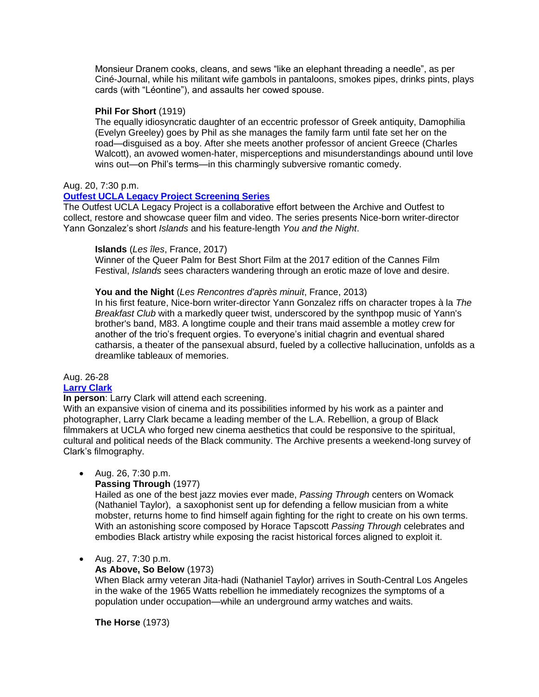Monsieur Dranem cooks, cleans, and sews "like an elephant threading a needle", as per Ciné-Journal, while his militant wife gambols in pantaloons, smokes pipes, drinks pints, plays cards (with "Léontine"), and assaults her cowed spouse.

## **Phil For Short** (1919)

The equally idiosyncratic daughter of an eccentric professor of Greek antiquity, Damophilia (Evelyn Greeley) goes by Phil as she manages the family farm until fate set her on the road—disguised as a boy. After she meets another professor of ancient Greece (Charles Walcott), an avowed women-hater, misperceptions and misunderstandings abound until love wins out—on Phil's terms—in this charmingly subversive romantic comedy.

## Aug. 20, 7:30 p.m.

## **[Outfest UCLA Legacy Project Screening Series](https://www.cinema.ucla.edu/events/outfest-ucla-legacy-project-screening-series)**

The Outfest UCLA Legacy Project is a collaborative effort between the Archive and Outfest to collect, restore and showcase queer film and video. The series presents Nice-born writer-director Yann Gonzalez's short *Islands* and his feature-length *You and the Night*.

## **Islands** (*Les îles*, France, 2017)

Winner of the Queer Palm for Best Short Film at the 2017 edition of the Cannes Film Festival, *Islands* sees characters wandering through an erotic maze of love and desire.

## **You and the Night** (*Les Rencontres d'après minuit*, France, 2013)

In his first feature, Nice-born writer-director Yann Gonzalez riffs on character tropes à la *The Breakfast Club* with a markedly queer twist, underscored by the synthpop music of Yann's brother's band, M83. A longtime couple and their trans maid assemble a motley crew for another of the trio's frequent orgies. To everyone's initial chagrin and eventual shared catharsis, a theater of the pansexual absurd, fueled by a collective hallucination, unfolds as a dreamlike tableaux of memories.

# Aug. 26-28

# **[Larry Clark](https://www.cinema.ucla.edu/events/2022/larry-clark)**

## **In person**: Larry Clark will attend each screening.

With an expansive vision of cinema and its possibilities informed by his work as a painter and photographer, Larry Clark became a leading member of the L.A. Rebellion, a group of Black filmmakers at UCLA who forged new cinema aesthetics that could be responsive to the spiritual, cultural and political needs of the Black community. The Archive presents a weekend-long survey of Clark's filmography.

## • Aug. 26, 7:30 p.m.

## **Passing Through** (1977)

Hailed as one of the best jazz movies ever made, *Passing Through* centers on Womack (Nathaniel Taylor), a saxophonist sent up for defending a fellow musician from a white mobster, returns home to find himself again fighting for the right to create on his own terms. With an astonishing score composed by Horace Tapscott *Passing Through* celebrates and embodies Black artistry while exposing the racist historical forces aligned to exploit it.

## • Aug. 27, 7:30 p.m.

## **As Above, So Below** (1973)

When Black army veteran Jita-hadi (Nathaniel Taylor) arrives in South-Central Los Angeles in the wake of the 1965 Watts rebellion he immediately recognizes the symptoms of a population under occupation—while an underground army watches and waits.

**The Horse** (1973)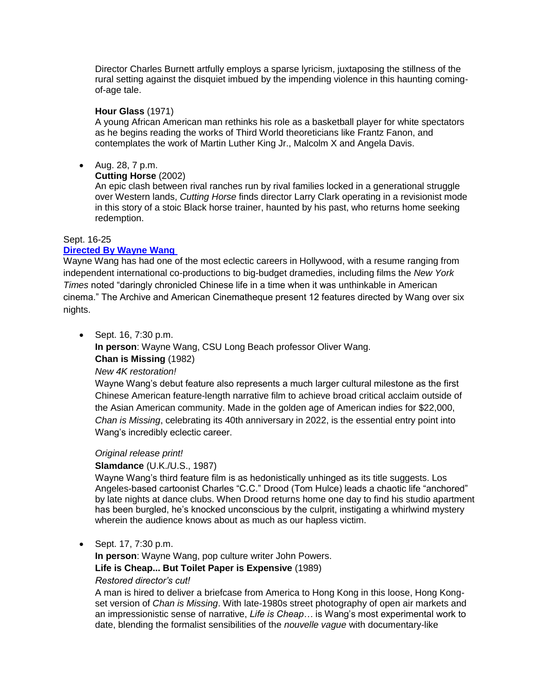Director Charles Burnett artfully employs a sparse lyricism, juxtaposing the stillness of the rural setting against the disquiet imbued by the impending violence in this haunting comingof-age tale.

## **Hour Glass** (1971)

A young African American man rethinks his role as a basketball player for white spectators as he begins reading the works of Third World theoreticians like Frantz Fanon, and contemplates the work of Martin Luther King Jr., Malcolm X and Angela Davis.

• Aug. 28, 7 p.m.

## **Cutting Horse** (2002)

An epic clash between rival ranches run by rival families locked in a generational struggle over Western lands, *Cutting Horse* finds director Larry Clark operating in a revisionist mode in this story of a stoic Black horse trainer, haunted by his past, who returns home seeking redemption.

## Sept. 16-25

# **[Directed By Wayne Wang](https://www.cinema.ucla.edu/events/2022/directed-by-wayne-wang)**

Wayne Wang has had one of the most eclectic careers in Hollywood, with a resume ranging from independent international co-productions to big-budget dramedies, including films the *New York Times* noted "daringly chronicled Chinese life in a time when it was unthinkable in American cinema." The Archive and American Cinematheque present 12 features directed by Wang over six nights.

• Sept. 16, 7:30 p.m.

**In person**: Wayne Wang, CSU Long Beach professor Oliver Wang. **Chan is Missing** (1982)

*New 4K restoration!*

Wayne Wang's debut feature also represents a much larger cultural milestone as the first Chinese American feature-length narrative film to achieve broad critical acclaim outside of the Asian American community. Made in the golden age of American indies for \$22,000, *Chan is Missing*, celebrating its 40th anniversary in 2022, is the essential entry point into Wang's incredibly eclectic career.

## *Original release print!*

## **Slamdance** (U.K./U.S., 1987)

Wayne Wang's third feature film is as hedonistically unhinged as its title suggests. Los Angeles-based cartoonist Charles "C.C." Drood (Tom Hulce) leads a chaotic life "anchored" by late nights at dance clubs. When Drood returns home one day to find his studio apartment has been burgled, he's knocked unconscious by the culprit, instigating a whirlwind mystery wherein the audience knows about as much as our hapless victim.

• Sept. 17, 7:30 p.m.

**In person**: Wayne Wang, pop culture writer John Powers.

# **Life is Cheap... But Toilet Paper is Expensive** (1989)

*Restored director's cut!*

A man is hired to deliver a briefcase from America to Hong Kong in this loose, Hong Kongset version of *Chan is Missing*. With late-1980s street photography of open air markets and an impressionistic sense of narrative, *Life is Cheap…* is Wang's most experimental work to date, blending the formalist sensibilities of the *nouvelle vague* with documentary-like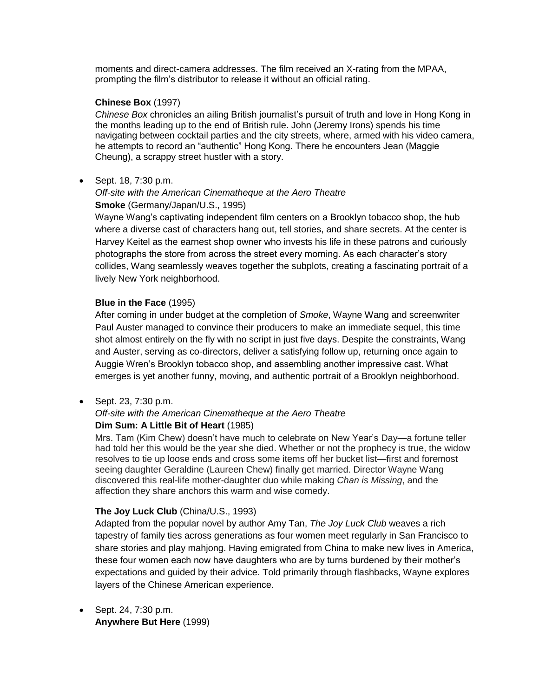moments and direct-camera addresses. The film received an X-rating from the MPAA, prompting the film's distributor to release it without an official rating.

## **Chinese Box** (1997)

*Chinese Box* chronicles an ailing British journalist's pursuit of truth and love in Hong Kong in the months leading up to the end of British rule. John (Jeremy Irons) spends his time navigating between cocktail parties and the city streets, where, armed with his video camera, he attempts to record an "authentic" Hong Kong. There he encounters Jean (Maggie Cheung), a scrappy street hustler with a story.

## • Sept. 18, 7:30 p.m.

## *Off-site with the American Cinematheque at the Aero Theatre* **Smoke** (Germany/Japan/U.S., 1995)

Wayne Wang's captivating independent film centers on a Brooklyn tobacco shop, the hub where a diverse cast of characters hang out, tell stories, and share secrets. At the center is Harvey Keitel as the earnest shop owner who invests his life in these patrons and curiously photographs the store from across the street every morning. As each character's story collides, Wang seamlessly weaves together the subplots, creating a fascinating portrait of a lively New York neighborhood.

## **Blue in the Face** (1995)

After coming in under budget at the completion of *Smoke*, Wayne Wang and screenwriter Paul Auster managed to convince their producers to make an immediate sequel, this time shot almost entirely on the fly with no script in just five days. Despite the constraints, Wang and Auster, serving as co-directors, deliver a satisfying follow up, returning once again to Auggie Wren's Brooklyn tobacco shop, and assembling another impressive cast. What emerges is yet another funny, moving, and authentic portrait of a Brooklyn neighborhood.

## • Sept. 23, 7:30 p.m.

# *Off-site with the American Cinematheque at the Aero Theatre*

# **Dim Sum: A Little Bit of Heart** (1985)

Mrs. Tam (Kim Chew) doesn't have much to celebrate on New Year's Day—a fortune teller had told her this would be the year she died. Whether or not the prophecy is true, the widow resolves to tie up loose ends and cross some items off her bucket list—first and foremost seeing daughter Geraldine (Laureen Chew) finally get married. Director Wayne Wang discovered this real-life mother-daughter duo while making *Chan is Missing*, and the affection they share anchors this warm and wise comedy.

# **The Joy Luck Club** (China/U.S., 1993)

Adapted from the popular novel by author Amy Tan, *The Joy Luck Club* weaves a rich tapestry of family ties across generations as four women meet regularly in San Francisco to share stories and play mahjong. Having emigrated from China to make new lives in America, these four women each now have daughters who are by turns burdened by their mother's expectations and guided by their advice. Told primarily through flashbacks, Wayne explores layers of the Chinese American experience.

• Sept. 24, 7:30 p.m. **Anywhere But Here** (1999)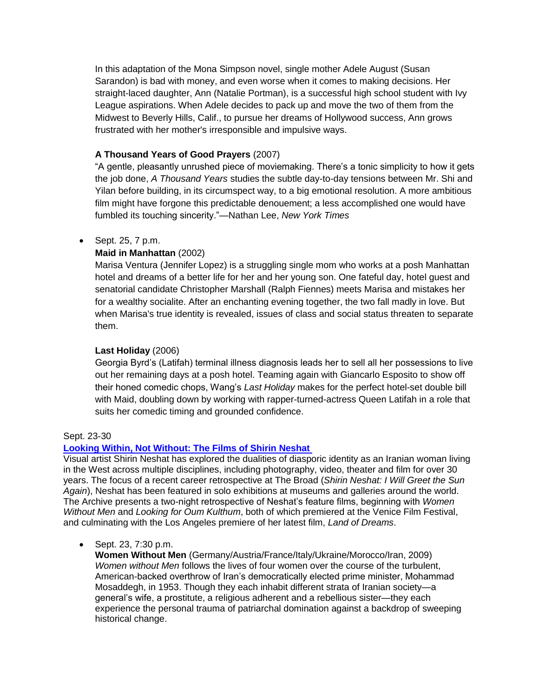In this adaptation of the Mona Simpson novel, single mother Adele August (Susan Sarandon) is bad with money, and even worse when it comes to making decisions. Her straight-laced daughter, Ann (Natalie Portman), is a successful high school student with Ivy League aspirations. When Adele decides to pack up and move the two of them from the Midwest to Beverly Hills, Calif., to pursue her dreams of Hollywood success, Ann grows frustrated with her mother's irresponsible and impulsive ways.

# **A Thousand Years of Good Prayers** (2007)

"A gentle, pleasantly unrushed piece of moviemaking. There's a tonic simplicity to how it gets the job done, *A Thousand Years* studies the subtle day-to-day tensions between Mr. Shi and Yilan before building, in its circumspect way, to a big emotional resolution. A more ambitious film might have forgone this predictable denouement; a less accomplished one would have fumbled its touching sincerity."—Nathan Lee, *New York Times*

## • Sept. 25, 7 p.m.

## **Maid in Manhattan** (2002)

Marisa Ventura (Jennifer Lopez) is a struggling single mom who works at a posh Manhattan hotel and dreams of a better life for her and her young son. One fateful day, hotel guest and senatorial candidate Christopher Marshall (Ralph Fiennes) meets Marisa and mistakes her for a wealthy socialite. After an enchanting evening together, the two fall madly in love. But when Marisa's true identity is revealed, issues of class and social status threaten to separate them.

## **Last Holiday** (2006)

Georgia Byrd's (Latifah) terminal illness diagnosis leads her to sell all her possessions to live out her remaining days at a posh hotel. Teaming again with Giancarlo Esposito to show off their honed comedic chops, Wang's *Last Holiday* makes for the perfect hotel-set double bill with Maid, doubling down by working with rapper-turned-actress Queen Latifah in a role that suits her comedic timing and grounded confidence.

## Sept. 23-30

## **[Looking Within, Not Without: The Films of Shirin Neshat](https://www.cinema.ucla.edu/events/2022/looking-within-not-without-films-of-shirin-neshat)**

Visual artist Shirin Neshat has explored the dualities of diasporic identity as an Iranian woman living in the West across multiple disciplines, including photography, video, theater and film for over 30 years. The focus of a recent career retrospective at The Broad (*Shirin Neshat: I Will Greet the Sun Again*), Neshat has been featured in solo exhibitions at museums and galleries around the world. The Archive presents a two-night retrospective of Neshat's feature films, beginning with *Women Without Men* and *Looking for Oum Kulthum*, both of which premiered at the Venice Film Festival, and culminating with the Los Angeles premiere of her latest film, *Land of Dreams*.

## • Sept. 23, 7:30 p.m.

**Women Without Men** (Germany/Austria/France/Italy/Ukraine/Morocco/Iran, 2009) *Women without Men* follows the lives of four women over the course of the turbulent, American-backed overthrow of Iran's democratically elected prime minister, Mohammad Mosaddegh, in 1953. Though they each inhabit different strata of Iranian society—a general's wife, a prostitute, a religious adherent and a rebellious sister—they each experience the personal trauma of patriarchal domination against a backdrop of sweeping historical change.